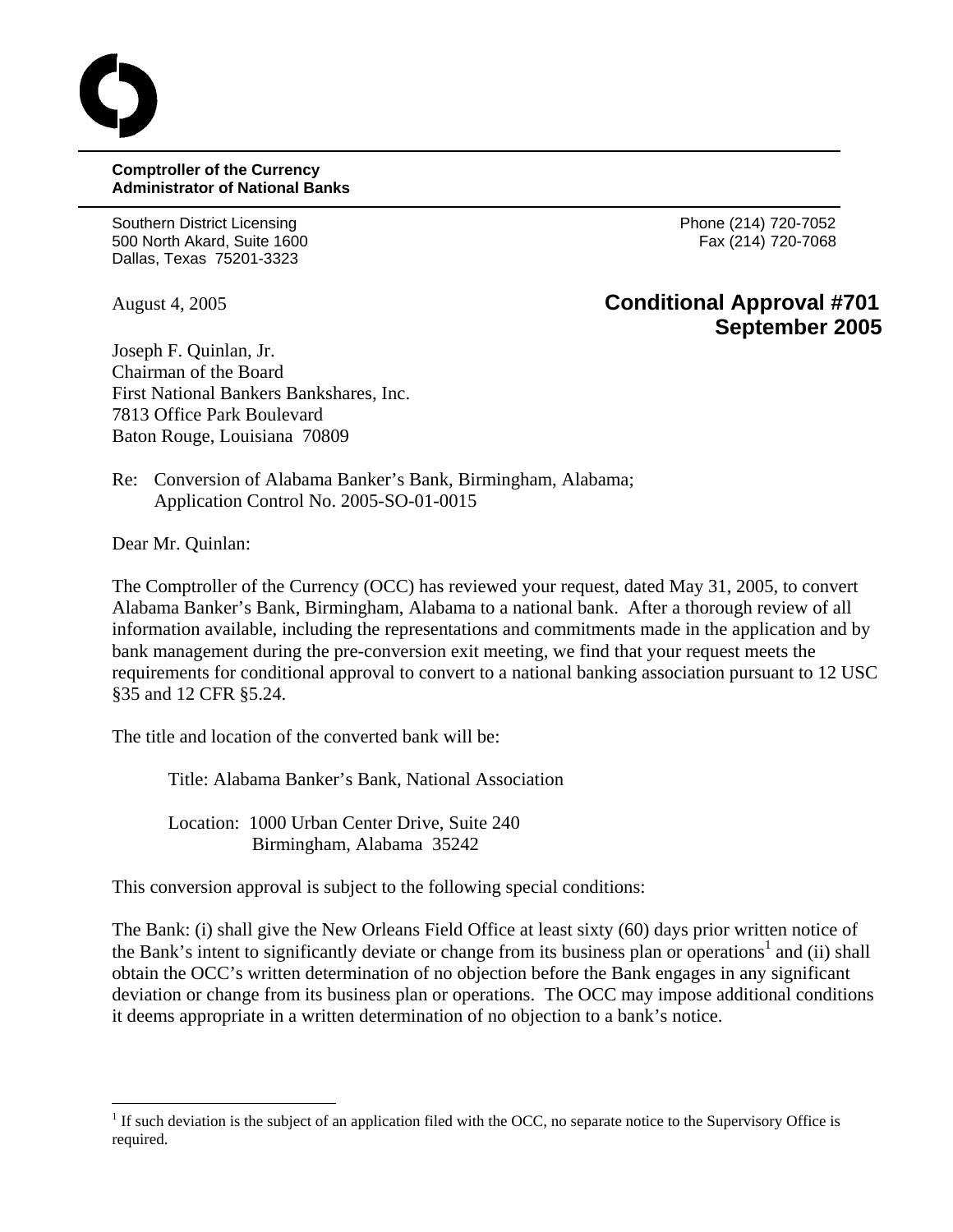## **Comptroller of the Currency Administrator of National Banks**

Southern District Licensing **Phone (214)** 720-7052 500 North Akard, Suite 1600 Fax (214) 720-7068 Dallas, Texas 75201-3323

## August 4, 2005 **Conditional Approval #701 September 2005**

Joseph F. Quinlan, Jr. Chairman of the Board First National Bankers Bankshares, Inc. 7813 Office Park Boulevard Baton Rouge, Louisiana 70809

Re: Conversion of Alabama Banker's Bank, Birmingham, Alabama; Application Control No. 2005-SO-01-0015

Dear Mr. Quinlan:

1

The Comptroller of the Currency (OCC) has reviewed your request, dated May 31, 2005, to convert Alabama Banker's Bank, Birmingham, Alabama to a national bank. After a thorough review of all information available, including the representations and commitments made in the application and by bank management during the pre-conversion exit meeting, we find that your request meets the requirements for conditional approval to convert to a national banking association pursuant to 12 USC §35 and 12 CFR §5.24.

The title and location of the converted bank will be:

Title: Alabama Banker's Bank, National Association

Location: 1000 Urban Center Drive, Suite 240 Birmingham, Alabama 35242

This conversion approval is subject to the following special conditions:

The Bank: (i) shall give the New Orleans Field Office at least sixty (60) days prior written notice of the Bank's intent to significantly deviate or change from its business plan or operations<sup>[1](#page-0-0)</sup> and (ii) shall obtain the OCC's written determination of no objection before the Bank engages in any significant deviation or change from its business plan or operations. The OCC may impose additional conditions it deems appropriate in a written determination of no objection to a bank's notice.

<span id="page-0-0"></span> $<sup>1</sup>$  If such deviation is the subject of an application filed with the OCC, no separate notice to the Supervisory Office is</sup> required.